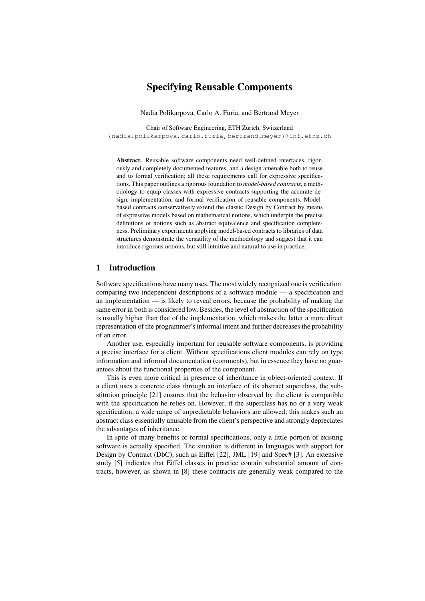# Specifying Reusable Components

Nadia Polikarpova, Carlo A. Furia, and Bertrand Meyer

Chair of Software Engineering, ETH Zurich, Switzerland {nadia.polikarpova,carlo.furia,bertrand.meyer}@inf.ethz.ch

Abstract. Reusable software components need well-defined interfaces, rigorously and completely documented features, and a design amenable both to reuse and to formal verification; all these requirements call for expressive specifications. This paper outlines a rigorous foundation to *model-based contracts*, a methodology to equip classes with expressive contracts supporting the accurate design, implementation, and formal verification of reusable components. Modelbased contracts conservatively extend the classic Design by Contract by means of expressive models based on mathematical notions, which underpin the precise definitions of notions such as abstract equivalence and specification completeness. Preliminary experiments applying model-based contracts to libraries of data structures demonstrate the versatility of the methodology and suggest that it can introduce rigorous notions, but still intuitive and natural to use in practice.

### 1 Introduction

Software specifications have many uses. The most widely recognized one is verification: comparing two independent descriptions of a software module — a specification and an implementation — is likely to reveal errors, because the probability of making the same error in both is considered low. Besides, the level of abstraction of the specification is usually higher than that of the implementation, which makes the latter a more direct representation of the programmer's informal intent and further decreases the probability of an error.

Another use, especially important for reusable software components, is providing a precise interface for a client. Without specifications client modules can rely on type information and informal documentation (comments), but in essence they have no guarantees about the functional properties of the component.

This is even more critical in presence of inheritance in object-oriented context. If a client uses a concrete class through an interface of its abstract superclass, the substitution principle [21] ensures that the behavior observed by the client is compatible with the specification he relies on. However, if the superclass has no or a very weak specification, a wide range of unpredictable behaviors are allowed; this makes such an abstract class essentially unusable from the client's perspective and strongly depreciates the advantages of inheritance.

In spite of many benefits of formal specifications, only a little portion of existing software is actually specified. The situation is different in languages with support for Design by Contract (DbC), such as Eiffel [22], JML [19] and Spec# [3]. An extensive study [5] indicates that Eiffel classes in practice contain substantial amount of contracts, however, as shown in [8] these contracts are generally weak compared to the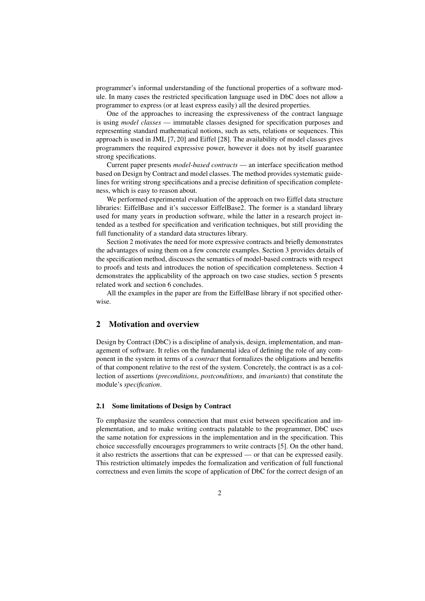programmer's informal understanding of the functional properties of a software module. In many cases the restricted specification language used in DbC does not allow a programmer to express (or at least express easily) all the desired properties.

One of the approaches to increasing the expressiveness of the contract language is using *model classes* — immutable classes designed for specification purposes and representing standard mathematical notions, such as sets, relations or sequences. This approach is used in JML [7, 20] and Eiffel [28]. The availability of model classes gives programmers the required expressive power, however it does not by itself guarantee strong specifications.

Current paper presents *model-based contracts* — an interface specification method based on Design by Contract and model classes. The method provides systematic guidelines for writing strong specifications and a precise definition of specification completeness, which is easy to reason about.

We performed experimental evaluation of the approach on two Eiffel data structure libraries: EiffelBase and it's successor EiffelBase2. The former is a standard library used for many years in production software, while the latter in a research project intended as a testbed for specification and verification techniques, but still providing the full functionality of a standard data structures library.

Section 2 motivates the need for more expressive contracts and briefly demonstrates the advantages of using them on a few concrete examples. Section 3 provides details of the specification method, discusses the semantics of model-based contracts with respect to proofs and tests and introduces the notion of specification completeness. Section 4 demonstrates the applicability of the approach on two case studies, section 5 presents related work and section 6 concludes.

All the examples in the paper are from the EiffelBase library if not specified otherwise.

## 2 Motivation and overview

Design by Contract (DbC) is a discipline of analysis, design, implementation, and management of software. It relies on the fundamental idea of defining the role of any component in the system in terms of a *contract* that formalizes the obligations and benefits of that component relative to the rest of the system. Concretely, the contract is as a collection of assertions (*preconditions*, *postconditions*, and *invariants*) that constitute the module's *specification*.

### 2.1 Some limitations of Design by Contract

To emphasize the seamless connection that must exist between specification and implementation, and to make writing contracts palatable to the programmer, DbC uses the same notation for expressions in the implementation and in the specification. This choice successfully encourages programmers to write contracts [5]. On the other hand, it also restricts the assertions that can be expressed — or that can be expressed easily. This restriction ultimately impedes the formalization and verification of full functional correctness and even limits the scope of application of DbC for the correct design of an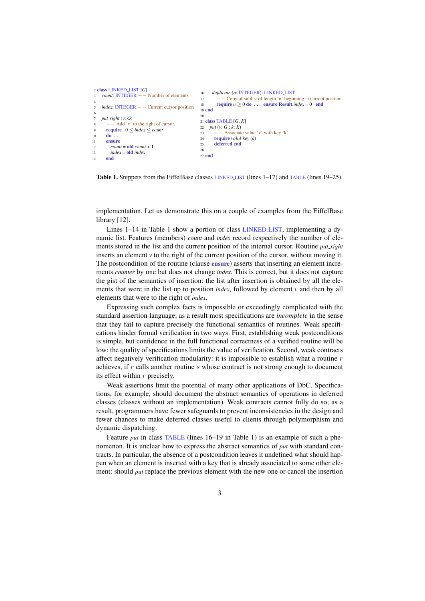```
2 class LINKED LIST [G]
   count: INTEGER −− Number of elements
 4
5 index: INTEGER −− Current cursor position
 6
   put\_right(v: G)Add 'v' to the right of cursor.
9 require 0 \leq index \leq countd<sub>0</sub>11 ensure
12 count = old count + 1
13 index = old index
14 end
                                                 16 duplicate (n: INTEGER): LINKED LIST
                                                 17 −− Copy of sublist of length 'n' beginning at current position
                                                 18 require n \geq 0 do . . . ensure Result.index = 0 end
                                                 19 end
                                                 2021 class TABLE [G, K]
                                                 22 put (v: G ; k: K)
                                                 23 \quad -\text{Associate value 'v' with key 'k'.}24 require valid key (k)
                                                       deferred end
                                                 26
                                                 27 end
```
Table 1. Snippets from the EiffelBase classes LINKED LIST (lines 1–17) and TABLE (lines 19–25).

implementation. Let us demonstrate this on a couple of examples from the EiffelBase library [12].

Lines 1–14 in Table 1 show a portion of class LINKED LIST, implementing a dynamic list. Features (members) *count* and *index* record respectively the number of elements stored in the list and the current position of the internal cursor. Routine *put right* inserts an element  $\nu$  to the right of the current position of the cursor, without moving it. The postcondition of the routine (clause ensure) asserts that inserting an element increments *counter* by one but does not change *index*. This is correct, but it does not capture the gist of the semantics of insertion: the list after insertion is obtained by all the elements that were in the list up to position *index*, followed by element *v* and then by all elements that were to the right of *index*.

Expressing such complex facts is impossible or exceedingly complicated with the standard assertion language; as a result most specifications are *incomplete* in the sense that they fail to capture precisely the functional semantics of routines. Weak specifications hinder formal verification in two ways. First, establishing weak postconditions is simple, but confidence in the full functional correctness of a verified routine will be low: the quality of specifications limits the value of verification. Second, weak contracts affect negatively verification modularity: it is impossible to establish what a routine  $r$ achieves, if  $r$  calls another routine  $s$  whose contract is not strong enough to document its effect within  $r$  precisely.

Weak assertions limit the potential of many other applications of DbC. Specifications, for example, should document the abstract semantics of operations in deferred classes (classes without an implementation). Weak contracts cannot fully do so; as a result, programmers have fewer safeguards to prevent inconsistencies in the design and fewer chances to make deferred classes useful to clients through polymorphism and dynamic dispatching.

Feature *put* in class TABLE (lines 16–19 in Table 1) is an example of such a phenomenon. It is unclear how to express the abstract semantics of *put* with standard contracts. In particular, the absence of a postcondition leaves it undefined what should happen when an element is inserted with a key that is already associated to some other element: should *put* replace the previous element with the new one or cancel the insertion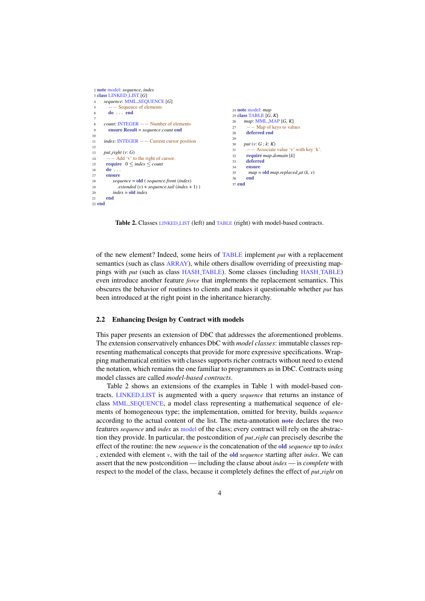```
2 note model: sequence, index
 3 class LINKED LIST [G]
     4 sequence: MML SEQUENCE [G]
5 −− Sequence of elements
        6 do . . . end
 7
8 count: INTEGER −− Number of elements
       9 ensure Result = sequence.count end
10^{-1}11 index: INTEGER −− Current cursor position
12
13 put right (v: G)
14 −− Add 'v' to the right of cursor.<br>15 require 0 \leq index \leq countrequire \space 0 \leq index \leq count16 do ...
      ensure
18 sequence = old ( sequence.front (index)
19 .extended (v) + sequence tail (index + 1) )
20 index = oldindex<br>21 end
       end
22 end
                                                                      24 note model: map
                                                                      25 class TABLE [G, K]
                                                                      26 map: MML_MAP [G, K]<br>27 – Map of keys to value
                                                                                − Map of keys to values
                                                                      28 deferred end
                                                                      29<br>30
                                                                           30 put (v: G ; k: K)
                                                                      31 −− Associate value 'v' with key 'k'.
                                                                      32 require map.domain [k]
                                                                      33 deferred
                                                                      34 ensure<br>35 man =35 map = old map.replaced_at (k, v)<br>36 end
                                                                             end
                                                                      37 end
```
Table 2. Classes **LINKED LIST** (left) and TABLE (right) with model-based contracts.

of the new element? Indeed, some heirs of TABLE implement *put* with a replacement semantics (such as class ARRAY), while others disallow overriding of preexisting mappings with *put* (such as class HASH TABLE). Some classes (including HASH TABLE) even introduce another feature *force* that implements the replacement semantics. This obscures the behavior of routines to clients and makes it questionable whether *put* has been introduced at the right point in the inheritance hierarchy.

#### 2.2 Enhancing Design by Contract with models

This paper presents an extension of DbC that addresses the aforementioned problems. The extension conservatively enhances DbC with *model classes*: immutable classes representing mathematical concepts that provide for more expressive specifications. Wrapping mathematical entities with classes supports richer contracts without need to extend the notation, which remains the one familiar to programmers as in DbC. Contracts using model classes are called *model-based contracts*.

Table 2 shows an extensions of the examples in Table 1 with model-based contracts. LINKED LIST is augmented with a query *sequence* that returns an instance of class MML SEQUENCE, a model class representing a mathematical sequence of elements of homogeneous type; the implementation, omitted for brevity, builds *sequence* according to the actual content of the list. The meta-annotation note declares the two features *sequence* and *index* as model of the class; every contract will rely on the abstraction they provide. In particular, the postcondition of *put right* can precisely describe the effect of the routine: the new *sequence* is the concatenation of the old *sequence* up to *index* , extended with element *v*, with the tail of the old *sequence* starting after *index*. We can assert that the new postcondition — including the clause about *index* — is *complete* with respect to the model of the class, because it completely defines the effect of *put right* on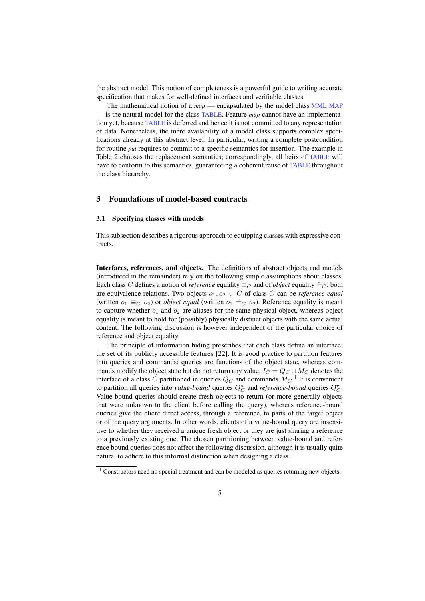the abstract model. This notion of completeness is a powerful guide to writing accurate specification that makes for well-defined interfaces and verifiable classes.

The mathematical notion of a *map* — encapsulated by the model class MML MAP — is the natural model for the class TABLE. Feature *map* cannot have an implementation yet, because TABLE is deferred and hence it is not committed to any representation of data. Nonetheless, the mere availability of a model class supports complex specifications already at this abstract level. In particular, writing a complete postcondition for routine *put* requires to commit to a specific semantics for insertion. The example in Table 2 chooses the replacement semantics; correspondingly, all heirs of TABLE will have to conform to this semantics, guaranteeing a coherent reuse of TABLE throughout the class hierarchy.

## 3 Foundations of model-based contracts

#### 3.1 Specifying classes with models

This subsection describes a rigorous approach to equipping classes with expressive contracts.

Interfaces, references, and objects. The definitions of abstract objects and models (introduced in the remainder) rely on the following simple assumptions about classes. Each class C defines a notion of *reference* equality  $\equiv_C$  and of *object* equality  $\stackrel{\circ}{=}_C$ ; both are equivalence relations. Two objects  $o_1, o_2 \in C$  of class C can be *reference equal* (written  $o_1 \equiv_C o_2$ ) or *object equal* (written  $o_1 \stackrel{\sim}{=} C o_2$ ). Reference equality is meant to capture whether  $o_1$  and  $o_2$  are aliases for the same physical object, whereas object equality is meant to hold for (possibly) physically distinct objects with the same actual content. The following discussion is however independent of the particular choice of reference and object equality.

The principle of information hiding prescribes that each class define an interface: the set of its publicly accessible features [22]. It is good practice to partition features into queries and commands; queries are functions of the object state, whereas commands modify the object state but do not return any value.  $I_C = Q_C \cup M_C$  denotes the interface of a class  $C$  partitioned in queries  $Q_C$  and commands  $M_C$ .<sup>1</sup> It is convenient to partition all queries into *value-bound* queries  $Q_C^o$  and *reference-bound* queries  $Q_C^r$ . Value-bound queries should create fresh objects to return (or more generally objects that were unknown to the client before calling the query), whereas reference-bound queries give the client direct access, through a reference, to parts of the target object or of the query arguments. In other words, clients of a value-bound query are insensitive to whether they received a unique fresh object or they are just sharing a reference to a previously existing one. The chosen partitioning between value-bound and reference bound queries does not affect the following discussion, although it is usually quite natural to adhere to this informal distinction when designing a class.

 $1$  Constructors need no special treatment and can be modeled as queries returning new objects.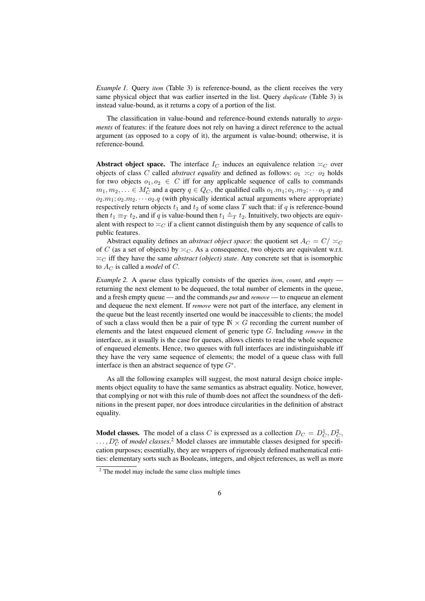*Example 1.* Ouery *item* (Table 3) is reference-bound, as the client receives the very same physical object that was earlier inserted in the list. Query *duplicate* (Table 3) is instead value-bound, as it returns a copy of a portion of the list.

The classification in value-bound and reference-bound extends naturally to *arguments* of features: if the feature does not rely on having a direct reference to the actual argument (as opposed to a copy of it), the argument is value-bound; otherwise, it is reference-bound.

Abstract object space. The interface  $I_C$  induces an equivalence relation  $\asymp_C$  over objects of class C called *abstract equality* and defined as follows:  $o_1 \simeq_C o_2$  holds for two objects  $o_1, o_2 \in C$  iff for any applicable sequence of calls to commands  $m_1, m_2, \ldots \in M_C^*$  and a query  $q \in Q_C$ , the qualified calls  $o_1.m_1; o_1.m_2; \cdots o_1.q$  and  $o_2.m_1; o_2.m_2. \cdots o_2.q$  (with physically identical actual arguments where appropriate) respectively return objects  $t_1$  and  $t_2$  of some class T such that: if q is reference-bound then  $t_1 \equiv_T t_2$ , and if q is value-bound then  $t_1 \stackrel{\circ}{=} T t_2$ . Intuitively, two objects are equivalent with respect to  $\leq_C$  if a client cannot distinguish them by any sequence of calls to public features.

Abstract equality defines an *abstract object space*: the quotient set  $A_C = C / \simeq_C C$ of C (as a set of objects) by  $\asymp_C$ . As a consequence, two objects are equivalent w.r.t.  $\asymp_C$  iff they have the same *abstract (object) state*. Any concrete set that is isomorphic to  $A_C$  is called a *model* of C.

*Example 2.* A *queue* class typically consists of the queries *item*, *count*, and *empty* returning the next element to be dequeued, the total number of elements in the queue, and a fresh empty queue — and the commands *put* and *remove* — to enqueue an element and dequeue the next element. If *remove* were not part of the interface, any element in the queue but the least recently inserted one would be inaccessible to clients; the model of such a class would then be a pair of type  $\mathbb{N} \times G$  recording the current number of elements and the latest enqueued element of generic type G. Including *remove* in the interface, as it usually is the case for queues, allows clients to read the whole sequence of enqueued elements. Hence, two queues with full interfaces are indistinguishable iff they have the very same sequence of elements; the model of a queue class with full interface is then an abstract sequence of type  $G^*$ .

As all the following examples will suggest, the most natural design choice implements object equality to have the same semantics as abstract equality. Notice, however, that complying or not with this rule of thumb does not affect the soundness of the definitions in the present paper, nor does introduce circularities in the definition of abstract equality.

**Model classes.** The model of a class C is expressed as a collection  $D_C = D_C^1, D_C^2$ ,  $\ldots$ ,  $D_C^n$  of *model classes*.<sup>2</sup> Model classes are immutable classes designed for specification purposes; essentially, they are wrappers of rigorously defined mathematical entities: elementary sorts such as Booleans, integers, and object references, as well as more

<sup>&</sup>lt;sup>2</sup> The model may include the same class multiple times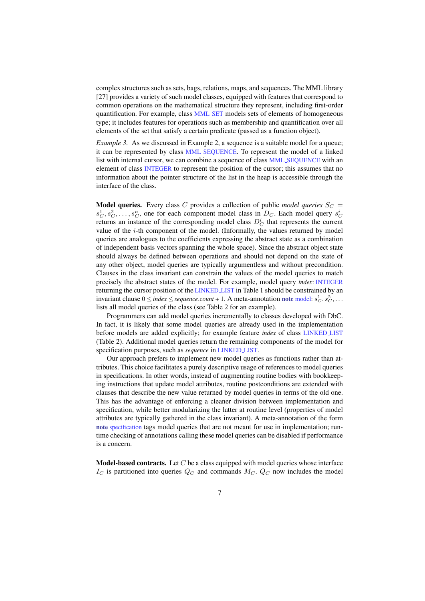complex structures such as sets, bags, relations, maps, and sequences. The MML library [27] provides a variety of such model classes, equipped with features that correspond to common operations on the mathematical structure they represent, including first-order quantification. For example, class MML SET models sets of elements of homogeneous type; it includes features for operations such as membership and quantification over all elements of the set that satisfy a certain predicate (passed as a function object).

*Example 3.* As we discussed in Example 2, a sequence is a suitable model for a queue; it can be represented by class MML SEQUENCE. To represent the model of a linked list with internal cursor, we can combine a sequence of class **MML\_SEQUENCE** with an element of class **INTEGER** to represent the position of the cursor; this assumes that no information about the pointer structure of the list in the heap is accessible through the interface of the class.

**Model queries.** Every class C provides a collection of public *model queries*  $S_C$  =  $s_C^1, s_C^2, \ldots, s_C^n$ , one for each component model class in  $D_C$ . Each model query  $s_C^i$ returns an instance of the corresponding model class  $D_C^i$  that represents the current value of the  $i$ -th component of the model. (Informally, the values returned by model queries are analogues to the coefficients expressing the abstract state as a combination of independent basis vectors spanning the whole space). Since the abstract object state should always be defined between operations and should not depend on the state of any other object, model queries are typically argumentless and without precondition. Clauses in the class invariant can constrain the values of the model queries to match precisely the abstract states of the model. For example, model query *index*: INTEGER returning the cursor position of the LINKED LIST in Table 1 should be constrained by an invariant clause  $0 \leq$  *index*  $\leq$  *sequence.count* + 1. A meta-annotation note model:  $s_C^1, s_C^2, \ldots$ lists all model queries of the class (see Table 2 for an example).

Programmers can add model queries incrementally to classes developed with DbC. In fact, it is likely that some model queries are already used in the implementation before models are added explicitly; for example feature *index* of class LINKED LIST (Table 2). Additional model queries return the remaining components of the model for specification purposes, such as *sequence* in LINKED LIST.

Our approach prefers to implement new model queries as functions rather than attributes. This choice facilitates a purely descriptive usage of references to model queries in specifications. In other words, instead of augmenting routine bodies with bookkeeping instructions that update model attributes, routine postconditions are extended with clauses that describe the new value returned by model queries in terms of the old one. This has the advantage of enforcing a cleaner division between implementation and specification, while better modularizing the latter at routine level (properties of model attributes are typically gathered in the class invariant). A meta-annotation of the form note specification tags model queries that are not meant for use in implementation; runtime checking of annotations calling these model queries can be disabled if performance is a concern.

**Model-based contracts.** Let  $C$  be a class equipped with model queries whose interface  $I_C$  is partitioned into queries  $Q_C$  and commands  $M_C$ .  $Q_C$  now includes the model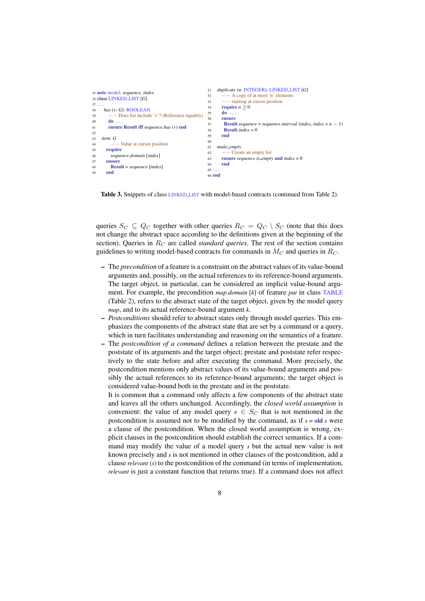```
35 note model: sequence, index
36 class LINKED LIST [G]
37 . . .
\begin{array}{rcl} 38 & has (v: G): \text{BOOLEAN} \\ 39 & & \text{---} \text{Does list include} \end{array}39 - Does list include 'v'? (Reference equality)
40 \frac{d0}{41} ensure
         41 ensure Result iff sequence.has (v) end
42
43 item: G
              44 −− Value at cursor position
45 require
46 sequence.domain [index]
47 ensure
48 Result = sequence [index]
        49 end
                                                                 51 duplicate (n: INTEGER): LINKED LIST [G]
                                                                 52 −− A copy of at most 'n' elements
                                                                 53 −− starting at cursor position
                                                                54 require n > 055 do . . .
                                                                 56 ensure<br>57 Resul
                                                                 57 Result.sequence = sequence.interval (index, index + n − 1)<br>Result.index = 0
                                                                 58 Result.index = 0
                                                                        59 end
                                                                 60
                                                                61 make empty
                                                                62 \quad - Create an empty list
                                                                63 ensure sequence.is empty and index = 0<br>64 end
                                                                        end
                                                                 65 . . .
                                                                66 end
```
Table 3. Snippets of class LINKED LIST with model-based contracts (continued from Table 2).

queries  $S_C \subseteq Q_C$  together with other queries  $R_C = Q_C \setminus S_C$  (note that this does not change the abstract space according to the definitions given at the beginning of the section). Queries in  $R_C$  are called *standard queries*. The rest of the section contains guidelines to writing model-based contracts for commands in  $M_C$  and queries in  $R_C$ .

- The *precondition* of a feature is a constraint on the abstract values of its value-bound arguments and, possibly, on the actual references to its reference-bound arguments. The target object, in particular, can be considered an implicit value-bound argument. For example, the precondition *map*.*domain* [*k*] of feature *put* in class TABLE (Table 2), refers to the abstract state of the target object, given by the model query *map*, and to its actual reference-bound argument *k*.
- *Postconditions* should refer to abstract states only through model queries. This emphasizes the components of the abstract state that are set by a command or a query, which in turn facilitates understanding and reasoning on the semantics of a feature.
- The *postcondition of a command* defines a relation between the prestate and the poststate of its arguments and the target object; prestate and poststate refer respectively to the state before and after executing the command. More precisely, the postcondition mentions only abstract values of its value-bound arguments and possibly the actual references to its reference-bound arguments; the target object is considered value-bound both in the prestate and in the poststate.

It is common that a command only affects a few components of the abstract state and leaves all the others unchanged. Accordingly, the *closed world assumption* is convenient: the value of any model query  $s \in S_C$  that is not mentioned in the postcondition is assumed not to be modified by the command, as if  $s = old$  *s* were a clause of the postcondition. When the closed world assumption is wrong, explicit clauses in the postcondition should establish the correct semantics. If a command may modify the value of a model query *s* but the actual new value is not known precisely and *s* is not mentioned in other clauses of the postcondition, add a clause *relevant* (*s*) to the postcondition of the command (in terms of implementation, *relevant* is just a constant function that returns true). If a command does not affect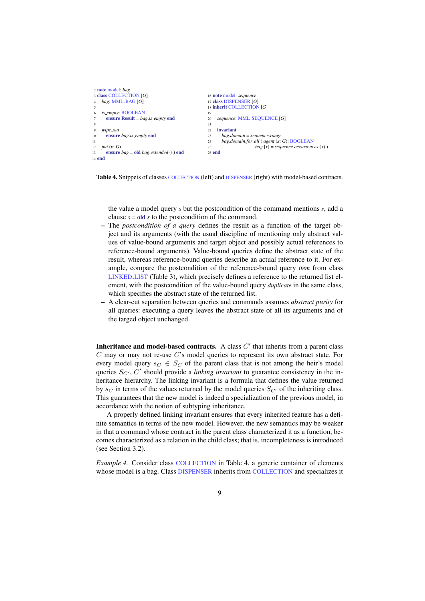```
2 note model: bag
3 class COLLECTION [G]
   4 bag: MML BAG [G]
 5
6 is empty: BOOLEAN
      7 ensure Result = bag.is empty end
 8
9 wipe_out<br>10 ensure
      10 ensure bag.is empty end
11
12 put (v: G)
13 ensure bag = old bag.extended (v) end
14 end
                                                  16 note model: sequence
                                                  17 class DISPENSER [G]
                                                  18 inherit COLLECTION [G]
                                                  19
                                                  20 sequence: MML SEQUENCE [G]
                                                  21
                                                  22 invariant
                                                  23 bag.domain = sequence.range
                                                  24 bag.domain.for all ( agent (x: G): BOOLEAN
                                                  25 bag [x] = sequence. occurrences (x)26 end
```
Table 4. Snippets of classes COLLECTION (left) and DISPENSER (right) with model-based contracts.

the value a model query *s* but the postcondition of the command mentions *s*, add a clause *s* = old *s* to the postcondition of the command.

- The *postcondition of a query* defines the result as a function of the target object and its arguments (with the usual discipline of mentioning only abstract values of value-bound arguments and target object and possibly actual references to reference-bound arguments). Value-bound queries define the abstract state of the result, whereas reference-bound queries describe an actual reference to it. For example, compare the postcondition of the reference-bound query *item* from class LINKED LIST (Table 3), which precisely defines a reference to the returned list element, with the postcondition of the value-bound query *duplicate* in the same class, which specifies the abstract state of the returned list.
- A clear-cut separation between queries and commands assumes *abstract purity* for all queries: executing a query leaves the abstract state of all its arguments and of the targed object unchanged.

Inheritance and model-based contracts. A class  $C'$  that inherits from a parent class  $C$  may or may not re-use  $C$ 's model queries to represent its own abstract state. For every model query  $s_C \in S_C$  of the parent class that is not among the heir's model queries  $S_{C'}$ ,  $C'$  should provide a *linking invariant* to guarantee consistency in the inheritance hierarchy. The linking invariant is a formula that defines the value returned by  $s_C$  in terms of the values returned by the model queries  $S_{C}$  of the inheriting class. This guarantees that the new model is indeed a specialization of the previous model, in accordance with the notion of subtyping inheritance.

A properly defined linking invariant ensures that every inherited feature has a definite semantics in terms of the new model. However, the new semantics may be weaker in that a command whose contract in the parent class characterized it as a function, becomes characterized as a relation in the child class; that is, incompleteness is introduced (see Section 3.2).

*Example 4.* Consider class COLLECTION in Table 4, a generic container of elements whose model is a bag. Class DISPENSER inherits from COLLECTION and specializes it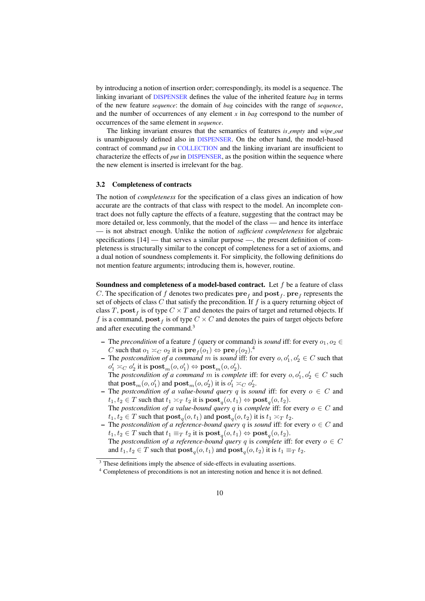by introducing a notion of insertion order; correspondingly, its model is a sequence. The linking invariant of DISPENSER defines the value of the inherited feature *bag* in terms of the new feature *sequence*: the domain of *bag* coincides with the range of *sequence*, and the number of occurrences of any element *x* in *bag* correspond to the number of occurrences of the same element in *sequence*.

The linking invariant ensures that the semantics of features *is empty* and *wipe out* is unambiguously defined also in DISPENSER. On the other hand, the model-based contract of command *put* in COLLECTION and the linking invariant are insufficient to characterize the effects of *put* in DISPENSER, as the position within the sequence where the new element is inserted is irrelevant for the bag.

#### 3.2 Completeness of contracts

The notion of *completeness* for the specification of a class gives an indication of how accurate are the contracts of that class with respect to the model. An incomplete contract does not fully capture the effects of a feature, suggesting that the contract may be more detailed or, less commonly, that the model of the class — and hence its interface — is not abstract enough. Unlike the notion of *sufficient completeness* for algebraic specifications [14] — that serves a similar purpose —, the present definition of completeness is structurally similar to the concept of completeness for a set of axioms, and a dual notion of soundness complements it. For simplicity, the following definitions do not mention feature arguments; introducing them is, however, routine.

**Soundness and completeness of a model-based contract.** Let  $f$  be a feature of class C. The specification of f denotes two predicates  $\mathbf{pre}_f$  and  $\mathbf{post}_f$ .  $\mathbf{pre}_f$  represents the set of objects of class C that satisfy the precondition. If f is a query returning object of class T,  $\mathbf{post}_f$  is of type  $C \times T$  and denotes the pairs of target and returned objects. If f is a command,  $\textbf{post}_f$  is of type  $C \times C$  and denotes the pairs of target objects before and after executing the command.<sup>3</sup>

- The *precondition* of a feature f (query or command) is *sound* iff: for every  $o_1, o_2 \in$ C such that  $o_1 \asymp_C o_2$  it is  $\text{pre}_f(o_1) \Leftrightarrow \text{pre}_f(o_2)$ .<sup>4</sup>
- The *postcondition of a command* m is *sound* iff: for every  $o, o'_1, o'_2 \in C$  such that  $o'_1 \asymp_C o'_2$  it is  $\textbf{post}_m(o, o'_1) \Leftrightarrow \textbf{post}_m(o, o'_2)$ .
- The *postcondition of a command* m is *complete* iff: for every  $o, o'_1, o'_2 \in C$  such that  $\textbf{post}_{m}(o, o'_1)$  and  $\textbf{post}_{m}(o, o'_2)$  it is  $o'_1 \asymp_C o'_2$ .
- The *postcondition of a value-bound query* q is *sound* iff: for every  $o \in C$  and  $t_1, t_2 \in T$  such that  $t_1 \asymp_T t_2$  it is  $\text{post}_q(o, t_1) \Leftrightarrow \text{post}_q(o, t_2)$ . The *postcondition of a value-bound query* q is *complete* iff: for every  $o \in C$  and  $t_1, t_2 \in T$  such that  $\textbf{post}_q(o, t_1)$  and  $\textbf{post}_q(o, t_2)$  it is  $t_1 \asymp_T t_2$ .
- The *postcondition of a reference-bound query* q is *sound* iff: for every  $o \in C$  and  $t_1, t_2 \in T$  such that  $t_1 \equiv_T t_2$  it is  $\textbf{post}_q(o, t_1) \Leftrightarrow \textbf{post}_q(o, t_2)$ . The *postcondition of a reference-bound query* q is *complete* iff: for every  $o \in C$ and  $t_1, t_2 \in T$  such that  $\text{post}_q(o, t_1)$  and  $\text{post}_q(o, t_2)$  it is  $t_1 \equiv_T t_2$ .

<sup>&</sup>lt;sup>3</sup> These definitions imply the absence of side-effects in evaluating assertions.

<sup>4</sup> Completeness of preconditions is not an interesting notion and hence it is not defined.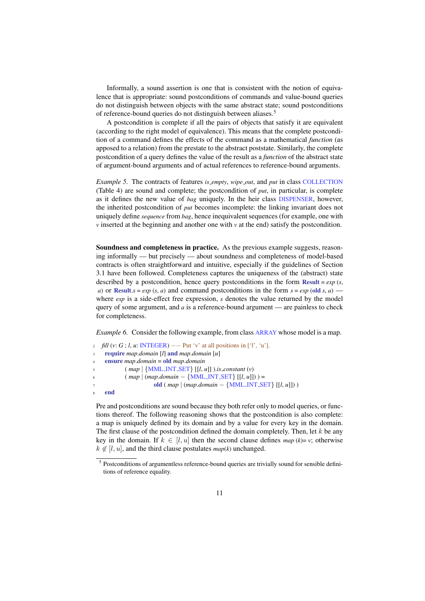Informally, a sound assertion is one that is consistent with the notion of equivalence that is appropriate: sound postconditions of commands and value-bound queries do not distinguish between objects with the same abstract state; sound postconditions of reference-bound queries do not distinguish between aliases.<sup>5</sup>

A postcondition is complete if all the pairs of objects that satisfy it are equivalent (according to the right model of equivalence). This means that the complete postcondition of a command defines the effects of the command as a mathematical *function* (as apposed to a relation) from the prestate to the abstract poststate. Similarly, the complete postcondition of a query defines the value of the result as a *function* of the abstract state of argument-bound arguments and of actual references to reference-bound arguments.

*Example 5.* The contracts of features *is empty*, *wipe out*, and *put* in class COLLECTION (Table 4) are sound and complete; the postcondition of *put*, in particular, is complete as it defines the new value of *bag* uniquely. In the heir class DISPENSER, however, the inherited postcondition of *put* becomes incomplete: the linking invariant does not uniquely define *sequence* from *bag*, hence inequivalent sequences (for example, one with *v* inserted at the beginning and another one with *v* at the end) satisfy the postcondition.

Soundness and completeness in practice. As the previous example suggests, reasoning informally — but precisely — about soundness and completeness of model-based contracts is often straightforward and intuitive, especially if the guidelines of Section 3.1 have been followed. Completeness captures the uniqueness of the (abstract) state described by a postcondition, hence query postconditions in the form Result = *exp* (*s*, *a*) or Result.*s* = *exp* (*s*, *a*) and command postconditions in the form  $s = exp$  (old *s*, *a*) where *exp* is a side-effect free expression, *s* denotes the value returned by the model query of some argument, and *a* is a reference-bound argument — are painless to check for completeness.

*Example 6.* Consider the following example, from class ARRAY whose model is a map.

```
2 fill (v: G; l, u: INTEGER) −− Put 'v' at all positions in ['l', 'u'].
    3 require map.domain [l] and map.domain [u]
    4 ensure map.domain = old map.domain
            5 ( map | {MML INT SET} [[l, u]] ).is constant (v)
            6 ( map | (map.domain − {MML INT SET} [[l, u]]) ) =
                      7 old ( map | (map.domain − {MML INT SET} [[l, u]]) )
    end
```
Pre and postconditions are sound because they both refer only to model queries, or functions thereof. The following reasoning shows that the postcondition is also complete: a map is uniquely defined by its domain and by a value for every key in the domain. The first clause of the postcondition defined the domain completely. Then, let  $k$  be any key in the domain. If  $k \in [l, u]$  then the second clause defines  $map (k)=v$ ; otherwise  $k \notin [l, u]$ , and the third clause postulates  $map(k)$  unchanged.

<sup>&</sup>lt;sup>5</sup> Postconditions of argumentless reference-bound queries are trivially sound for sensible definitions of reference equality.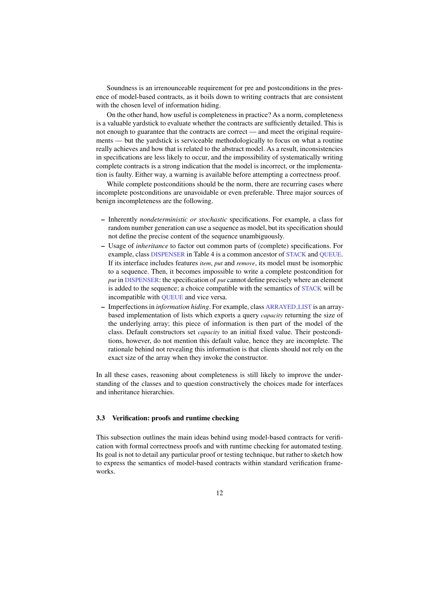Soundness is an irrenounceable requirement for pre and postconditions in the presence of model-based contracts, as it boils down to writing contracts that are consistent with the chosen level of information hiding.

On the other hand, how useful is completeness in practice? As a norm, completeness is a valuable yardstick to evaluate whether the contracts are sufficiently detailed. This is not enough to guarantee that the contracts are correct — and meet the original requirements — but the yardstick is serviceable methodologically to focus on what a routine really achieves and how that is related to the abstract model. As a result, inconsistencies in specifications are less likely to occur, and the impossibility of systematically writing complete contracts is a strong indication that the model is incorrect, or the implementation is faulty. Either way, a warning is available before attempting a correctness proof.

While complete postconditions should be the norm, there are recurring cases where incomplete postconditions are unavoidable or even preferable. Three major sources of benign incompleteness are the following.

- Inherently *nondeterministic or stochastic* specifications. For example, a class for random number generation can use a sequence as model, but its specification should not define the precise content of the sequence unambiguously.
- Usage of *inheritance* to factor out common parts of (complete) specifications. For example, class DISPENSER in Table 4 is a common ancestor of STACK and QUEUE. If its interface includes features *item*, *put* and *remove*, its model must be isomorphic to a sequence. Then, it becomes impossible to write a complete postcondition for *put* in DISPENSER: the specification of *put* cannot define precisely where an element is added to the sequence; a choice compatible with the semantics of STACK will be incompatible with QUEUE and vice versa.
- Imperfections in *information hiding*. For example, class ARRAYED LIST is an arraybased implementation of lists which exports a query *capacity* returning the size of the underlying array; this piece of information is then part of the model of the class. Default constructors set *capacity* to an initial fixed value. Their postconditions, however, do not mention this default value, hence they are incomplete. The rationale behind not revealing this information is that clients should not rely on the exact size of the array when they invoke the constructor.

In all these cases, reasoning about completeness is still likely to improve the understanding of the classes and to question constructively the choices made for interfaces and inheritance hierarchies.

### 3.3 Verification: proofs and runtime checking

This subsection outlines the main ideas behind using model-based contracts for verification with formal correctness proofs and with runtime checking for automated testing. Its goal is not to detail any particular proof or testing technique, but rather to sketch how to express the semantics of model-based contracts within standard verification frameworks.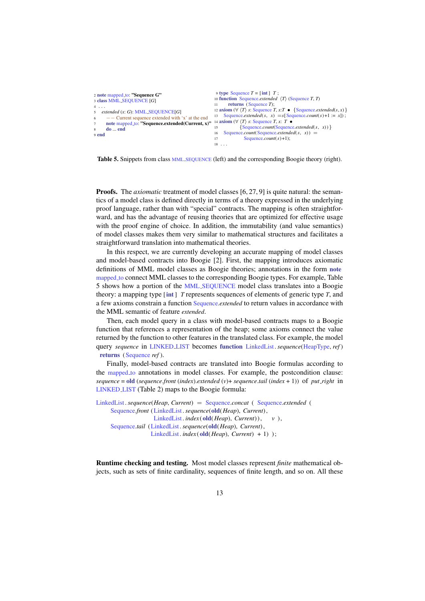```
2 note mapped_to: "Sequence G"
3 class MML SEQUENCE [G]
4 . . .
5 extended (x: G): MML SEQUENCE[G]
          6 −− Current sequence extended with 'x' at the end
      note mapped_to: "Sequence.extended(Current, x)"
8 do ... end
9 end
                                                                 9 type Sequence T = [\text{int}] T;<br>10 function Sequence.extended \langle T \rangle (Sequence T, T)
                                                                11 returns (Sequence T);
                                                                12 axiom (\forall \langle T \rangle s: Sequence T, x:T • {Sequence.extended(s, x)}
                                                                13 Sequence.extended(s, x) = s[Sequence.count(s) +1 := x]);
                                                                14 axiom (∀ \langle T \rangle s: Sequence T, x: T • {Sequence count(Sequence
                                                                              15 {Sequence.count(Sequence.extended(s, x) )}
                                                                16 Sequence.count(Sequence.extended(s, x)) =
                                                                17 Sequence.count(s) +1);
                                                                 18 . . .
```
Table 5. Snippets from class MML SEQUENCE (left) and the corresponding Boogie theory (right).

**Proofs.** The *axiomatic* treatment of model classes [6, 27, 9] is quite natural: the semantics of a model class is defined directly in terms of a theory expressed in the underlying proof language, rather than with "special" contracts. The mapping is often straightforward, and has the advantage of reusing theories that are optimized for effective usage with the proof engine of choice. In addition, the immutability (and value semantics) of model classes makes them very similar to mathematical structures and facilitates a straightforward translation into mathematical theories.

In this respect, we are currently developing an accurate mapping of model classes and model-based contracts into Boogie [2]. First, the mapping introduces axiomatic definitions of MML model classes as Boogie theories; annotations in the form note mapped to connect MML classes to the corresponding Boogie types. For example, Table 5 shows how a portion of the MML SEQUENCE model class translates into a Boogie theory: a mapping type [int ] *T* represents sequences of elements of generic type *T*, and a few axioms constrain a function Sequence.*extended* to return values in accordance with the MML semantic of feature *extended*.

Then, each model query in a class with model-based contracts maps to a Boogie function that references a representation of the heap; some axioms connect the value returned by the function to other features in the translated class. For example, the model query *sequence* in LINKED LIST becomes function LinkedList. *sequence*(HeapType, *ref* ) returns (Sequence *ref* ).

Finally, model-based contracts are translated into Boogie formulas according to the mapped to annotations in model classes. For example, the postcondition clause: *sequence* = old (*sequence*.*front* (*index*).*extended* (*v*)+ *sequence*.*tail* (*index* + 1)) of *put right* in LINKED LIST (Table 2) maps to the Boogie formula:

```
LinkedList. sequence(Heap, Current) = Sequence.concat ( Sequence.extended (
     Sequence.front (LinkedList. sequence(old(Heap), Current),
                    LinkedList. index(old(Heap), Current) ), v ),
     Sequence.tail (LinkedList. sequence(old(Heap), Current),
                   LinkedList. index(old(Heap), Current) + 1) );
```
Runtime checking and testing. Most model classes represent *finite* mathematical objects, such as sets of finite cardinality, sequences of finite length, and so on. All these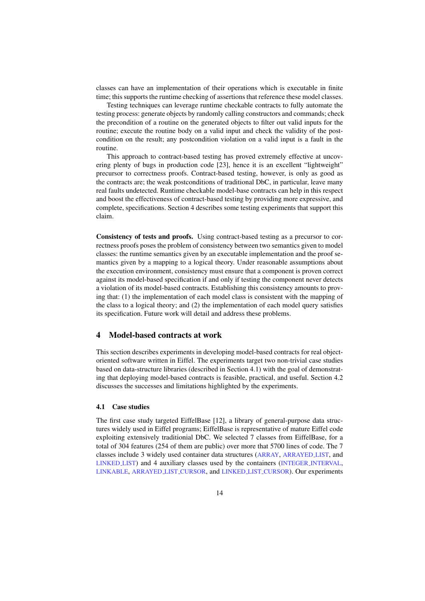classes can have an implementation of their operations which is executable in finite time; this supports the runtime checking of assertions that reference these model classes.

Testing techniques can leverage runtime checkable contracts to fully automate the testing process: generate objects by randomly calling constructors and commands; check the precondition of a routine on the generated objects to filter out valid inputs for the routine; execute the routine body on a valid input and check the validity of the postcondition on the result; any postcondition violation on a valid input is a fault in the routine.

This approach to contract-based testing has proved extremely effective at uncovering plenty of bugs in production code [23], hence it is an excellent "lightweight" precursor to correctness proofs. Contract-based testing, however, is only as good as the contracts are; the weak postconditions of traditional DbC, in particular, leave many real faults undetected. Runtime checkable model-base contracts can help in this respect and boost the effectiveness of contract-based testing by providing more expressive, and complete, specifications. Section 4 describes some testing experiments that support this claim.

Consistency of tests and proofs. Using contract-based testing as a precursor to correctness proofs poses the problem of consistency between two semantics given to model classes: the runtime semantics given by an executable implementation and the proof semantics given by a mapping to a logical theory. Under reasonable assumptions about the execution environment, consistency must ensure that a component is proven correct against its model-based specification if and only if testing the component never detects a violation of its model-based contracts. Establishing this consistency amounts to proving that: (1) the implementation of each model class is consistent with the mapping of the class to a logical theory; and (2) the implementation of each model query satisfies its specification. Future work will detail and address these problems.

### 4 Model-based contracts at work

This section describes experiments in developing model-based contracts for real objectoriented software written in Eiffel. The experiments target two non-trivial case studies based on data-structure libraries (described in Section 4.1) with the goal of demonstrating that deploying model-based contracts is feasible, practical, and useful. Section 4.2 discusses the successes and limitations highlighted by the experiments.

#### 4.1 Case studies

The first case study targeted EiffelBase [12], a library of general-purpose data structures widely used in Eiffel programs; EiffelBase is representative of mature Eiffel code exploiting extensively traditionial DbC. We selected 7 classes from EiffelBase, for a total of 304 features (254 of them are public) over more that 5700 lines of code. The 7 classes include 3 widely used container data structures (ARRAY, ARRAYED LIST, and LINKED LIST) and 4 auxiliary classes used by the containers (INTEGER INTERVAL, LINKABLE, ARRAYED LIST CURSOR, and LINKED LIST CURSOR). Our experiments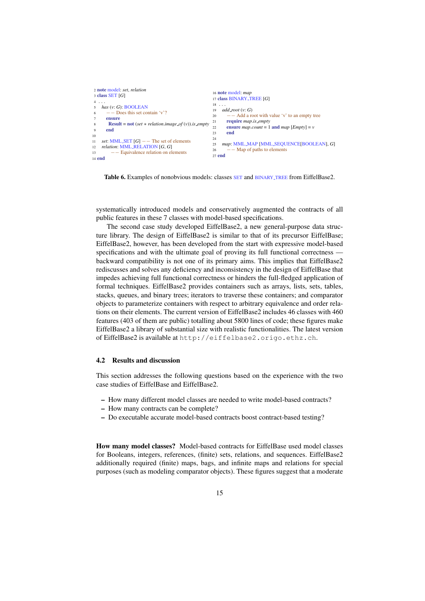```
2 note model: set, relation
 3 class SET [G]
 4 . . .
 5 has (v: G): BOOLEAN
       − Does this set contain 'v'?
       ensure
        Result = not (set * relation. image_of(v)). is emptyend
\overline{10}11 set: MML SET [G] −− The set of elements
12 relation: MML RELATION [G, G]
13 −− Equivalence relation on elements
14 end
                                                            16 note model: map
17 class BINARY TREE [G]
                                                           18 . . .
                                                           19 add root (v: G)
                                                           20 −− Add a root with value 'v' to an empty tree
                                                           21 require map.is empty<br>22 ensure map count = 1
                                                                  ensure map.count = 1 and map [Emptv] = v23 end
                                                           \frac{24}{25}25 map: MML MAP [MML SEQUENCE[BOOLEAN], G]
                                                           26 −− Map of paths to elements
                                                           27 end
```
Table 6. Examples of nonobvious models: classes SET and BINARY TREE from EiffelBase2.

systematically introduced models and conservatively augmented the contracts of all public features in these 7 classes with model-based specifications.

The second case study developed EiffelBase2, a new general-purpose data structure library. The design of EiffelBase2 is similar to that of its precursor EiffelBase; EiffelBase2, however, has been developed from the start with expressive model-based specifications and with the ultimate goal of proving its full functional correctness backward compatibility is not one of its primary aims. This implies that EiffelBase2 rediscusses and solves any deficiency and inconsistency in the design of EiffelBase that impedes achieving full functional correctness or hinders the full-fledged application of formal techniques. EiffelBase2 provides containers such as arrays, lists, sets, tables, stacks, queues, and binary trees; iterators to traverse these containers; and comparator objects to parameterize containers with respect to arbitrary equivalence and order relations on their elements. The current version of EiffelBase2 includes 46 classes with 460 features (403 of them are public) totalling about 5800 lines of code; these figures make EiffelBase2 a library of substantial size with realistic functionalities. The latest version of EiffelBase2 is available at http://eiffelbase2.origo.ethz.ch.

#### 4.2 Results and discussion

This section addresses the following questions based on the experience with the two case studies of EiffelBase and EiffelBase2.

- How many different model classes are needed to write model-based contracts?
- How many contracts can be complete?
- Do executable accurate model-based contracts boost contract-based testing?

How many model classes? Model-based contracts for EiffelBase used model classes for Booleans, integers, references, (finite) sets, relations, and sequences. EiffelBase2 additionally required (finite) maps, bags, and infinite maps and relations for special purposes (such as modeling comparator objects). These figures suggest that a moderate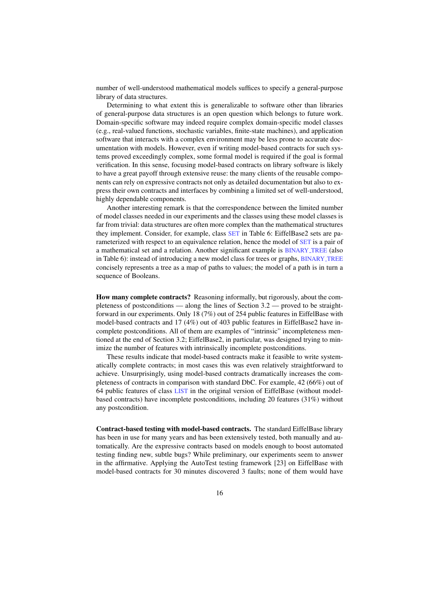number of well-understood mathematical models suffices to specify a general-purpose library of data structures.

Determining to what extent this is generalizable to software other than libraries of general-purpose data structures is an open question which belongs to future work. Domain-specific software may indeed require complex domain-specific model classes (e.g., real-valued functions, stochastic variables, finite-state machines), and application software that interacts with a complex environment may be less prone to accurate documentation with models. However, even if writing model-based contracts for such systems proved exceedingly complex, some formal model is required if the goal is formal verification. In this sense, focusing model-based contracts on library software is likely to have a great payoff through extensive reuse: the many clients of the reusable components can rely on expressive contracts not only as detailed documentation but also to express their own contracts and interfaces by combining a limited set of well-understood, highly dependable components.

Another interesting remark is that the correspondence between the limited number of model classes needed in our experiments and the classes using these model classes is far from trivial: data structures are often more complex than the mathematical structures they implement. Consider, for example, class SET in Table 6: EiffelBase2 sets are parameterized with respect to an equivalence relation, hence the model of SET is a pair of a mathematical set and a relation. Another significant example is BINARY TREE (also in Table 6): instead of introducing a new model class for trees or graphs, BINARY TREE concisely represents a tree as a map of paths to values; the model of a path is in turn a sequence of Booleans.

How many complete contracts? Reasoning informally, but rigorously, about the completeness of postconditions — along the lines of Section 3.2 — proved to be straightforward in our experiments. Only 18 (7%) out of 254 public features in EiffelBase with model-based contracts and 17 (4%) out of 403 public features in EiffelBase2 have incomplete postconditions. All of them are examples of "intrinsic" incompleteness mentioned at the end of Section 3.2; EiffelBase2, in particular, was designed trying to minimize the number of features with intrinsically incomplete postconditions.

These results indicate that model-based contracts make it feasible to write systematically complete contracts; in most cases this was even relatively straightforward to achieve. Unsurprisingly, using model-based contracts dramatically increases the completeness of contracts in comparison with standard DbC. For example, 42 (66%) out of 64 public features of class LIST in the original version of EiffelBase (without modelbased contracts) have incomplete postconditions, including 20 features (31%) without any postcondition.

Contract-based testing with model-based contracts. The standard EiffelBase library has been in use for many years and has been extensively tested, both manually and automatically. Are the expressive contracts based on models enough to boost automated testing finding new, subtle bugs? While preliminary, our experiments seem to answer in the affirmative. Applying the AutoTest testing framework [23] on EiffelBase with model-based contracts for 30 minutes discovered 3 faults; none of them would have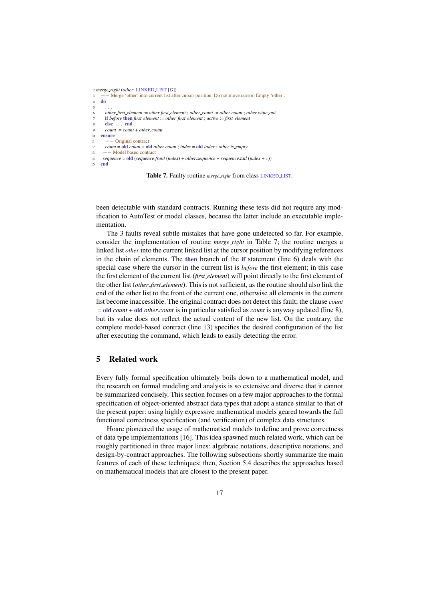```
2 merge right (other: LINKED LIST [G])
        3 −− Merge 'other' into current list after cursor position. Do not move cursor. Empty 'other'.
    4 do
 5 \qquad \ldots6 other first element := other.first element ; other count := other.count ; other.wipe out
       7 if before then first element := other first element ; active := first element
       8 else . . . end
9 count := count + other count
    ensure
11 −− Original contract
12 count = old count + old other.count ; index = old index ; other.is empty
13 −− Model based contract
14 sequence = old (sequence.front (index) + other.sequence + sequence.tail (index + 1))
    end
```
Table 7. Faulty routine *merge right* from class LINKED LIST.

been detectable with standard contracts. Running these tests did not require any modification to AutoTest or model classes, because the latter include an executable implementation.

The 3 faults reveal subtle mistakes that have gone undetected so far. For example, consider the implementation of routine *merge right* in Table 7; the routine merges a linked list *other* into the current linked list at the cursor position by modifying references in the chain of elements. The then branch of the if statement (line 6) deals with the special case where the cursor in the current list is *before* the first element; in this case the first element of the current list (*first element*) will point directly to the first element of the other list (*other first element*). This is not sufficient, as the routine should also link the end of the other list to the front of the current one, otherwise all elements in the current list become inaccessible. The original contract does not detect this fault; the clause *count* = old *count* + old *other*.*count* is in particular satisfied as *count* is anyway updated (line 8), but its value does not reflect the actual content of the new list. On the contrary, the complete model-based contract (line 13) specifies the desired configuration of the list after executing the command, which leads to easily detecting the error.

## 5 Related work

Every fully formal specification ultimately boils down to a mathematical model, and the research on formal modeling and analysis is so extensive and diverse that it cannot be summarized concisely. This section focuses on a few major approaches to the formal specification of object-oriented abstract data types that adopt a stance similar to that of the present paper: using highly expressive mathematical models geared towards the full functional correctness specification (and verification) of complex data structures.

Hoare pioneered the usage of mathematical models to define and prove correctness of data type implementations [16]. This idea spawned much related work, which can be roughly partitioned in three major lines: algebraic notations, descriptive notations, and design-by-contract approaches. The following subsections shortly summarize the main features of each of these techniques; then, Section 5.4 describes the approaches based on mathematical models that are closest to the present paper.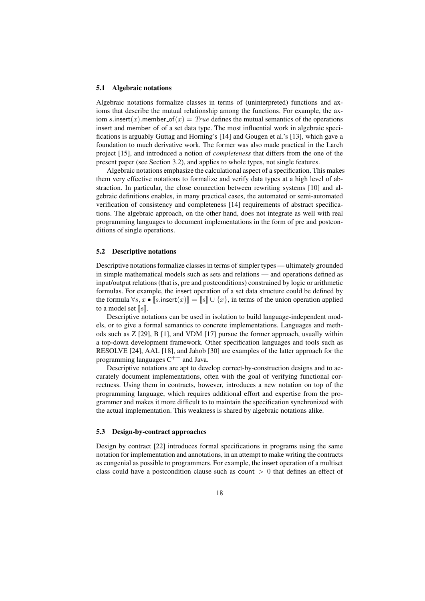#### 5.1 Algebraic notations

Algebraic notations formalize classes in terms of (uninterpreted) functions and axioms that describe the mutual relationship among the functions. For example, the axiom s.insert(x).member of  $(x) = True$  defines the mutual semantics of the operations insert and member of of a set data type. The most influential work in algebraic specifications is arguably Guttag and Horning's [14] and Gougen et al.'s [13], which gave a foundation to much derivative work. The former was also made practical in the Larch project [15], and introduced a notion of *completeness* that differs from the one of the present paper (see Section 3.2), and applies to whole types, not single features.

Algebraic notations emphasize the calculational aspect of a specification. This makes them very effective notations to formalize and verify data types at a high level of abstraction. In particular, the close connection between rewriting systems [10] and algebraic definitions enables, in many practical cases, the automated or semi-automated verification of consistency and completeness [14] requirements of abstract specifications. The algebraic approach, on the other hand, does not integrate as well with real programming languages to document implementations in the form of pre and postconditions of single operations.

#### 5.2 Descriptive notations

Descriptive notations formalize classes in terms of simpler types — ultimately grounded in simple mathematical models such as sets and relations — and operations defined as input/output relations (that is, pre and postconditions) constrained by logic or arithmetic formulas. For example, the insert operation of a set data structure could be defined by the formula  $\forall s, x \bullet [s]$ .insert $(x)$ ] =  $[s] \cup \{x\}$ , in terms of the union operation applied to a model set  $[s]$ .

Descriptive notations can be used in isolation to build language-independent models, or to give a formal semantics to concrete implementations. Languages and methods such as Z [29], B [1], and VDM [17] pursue the former approach, usually within a top-down development framework. Other specification languages and tools such as RESOLVE [24], AAL [18], and Jahob [30] are examples of the latter approach for the programming languages  $C^{++}$  and Java.

Descriptive notations are apt to develop correct-by-construction designs and to accurately document implementations, often with the goal of verifying functional correctness. Using them in contracts, however, introduces a new notation on top of the programming language, which requires additional effort and expertise from the programmer and makes it more difficult to to maintain the specification synchronized with the actual implementation. This weakness is shared by algebraic notations alike.

#### 5.3 Design-by-contract approaches

Design by contract [22] introduces formal specifications in programs using the same notation for implementation and annotations, in an attempt to make writing the contracts as congenial as possible to programmers. For example, the insert operation of a multiset class could have a postcondition clause such as count  $> 0$  that defines an effect of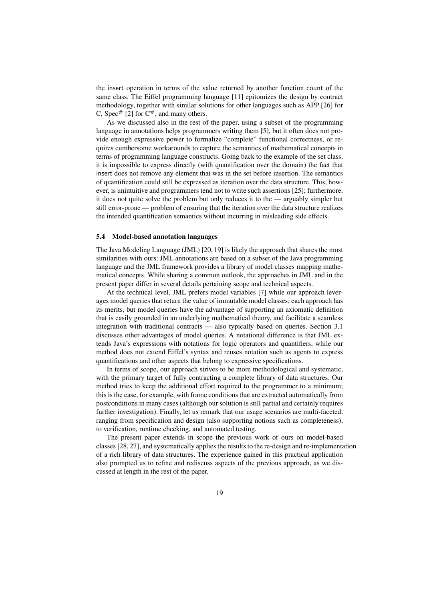the insert operation in terms of the value returned by another function count of the same class. The Eiffel programming language [11] epitomizes the design by contract methodology, together with similar solutions for other languages such as APP [26] for C, Spec<sup>#</sup> [2] for  $C^{\#}$ , and many others.

As we discussed also in the rest of the paper, using a subset of the programming language in annotations helps programmers writing them [5], but it often does not provide enough expressive power to formalize "complete" functional correctness, or requires cumbersome workarounds to capture the semantics of mathematical concepts in terms of programming language constructs. Going back to the example of the set class, it is impossible to express directly (with quantification over the domain) the fact that insert does not remove any element that was in the set before insertion. The semantics of quantification could still be expressed as iteration over the data structure. This, however, is unintuitive and programmers tend not to write such assertions [25]; furthermore, it does not quite solve the problem but only reduces it to the — arguably simpler but still error-prone — problem of ensuring that the iteration over the data structure realizes the intended quantification semantics without incurring in misleading side effects.

#### 5.4 Model-based annotation languages

The Java Modeling Language (JML) [20, 19] is likely the approach that shares the most similarities with ours: JML annotations are based on a subset of the Java programming language and the JML framework provides a library of model classes mapping mathematical concepts. While sharing a common outlook, the approaches in JML and in the present paper differ in several details pertaining scope and technical aspects.

At the technical level, JML prefers model variables [7] while our approach leverages model queries that return the value of immutable model classes; each approach has its merits, but model queries have the advantage of supporting an axiomatic definition that is easily grounded in an underlying mathematical theory, and facilitate a seamless integration with traditional contracts — also typically based on queries. Section 3.1 discusses other advantages of model queries. A notational difference is that JML extends Java's expressions with notations for logic operators and quantifiers, while our method does not extend Eiffel's syntax and reuses notation such as agents to express quantifications and other aspects that belong to expressive specifications.

In terms of scope, our approach strives to be more methodological and systematic, with the primary target of fully contracting a complete library of data structures. Our method tries to keep the additional effort required to the programmer to a minimum; this is the case, for example, with frame conditions that are extracted automatically from postconditions in many cases (although our solution is still partial and certainly requires further investigation). Finally, let us remark that our usage scenarios are multi-faceted, ranging from specification and design (also supporting notions such as completeness), to verification, runtime checking, and automated testing.

The present paper extends in scope the previous work of ours on model-based classes [28, 27], and systematically applies the results to the re-design and re-implementation of a rich library of data structures. The experience gained in this practical application also prompted us to refine and rediscuss aspects of the previous approach, as we discussed at length in the rest of the paper.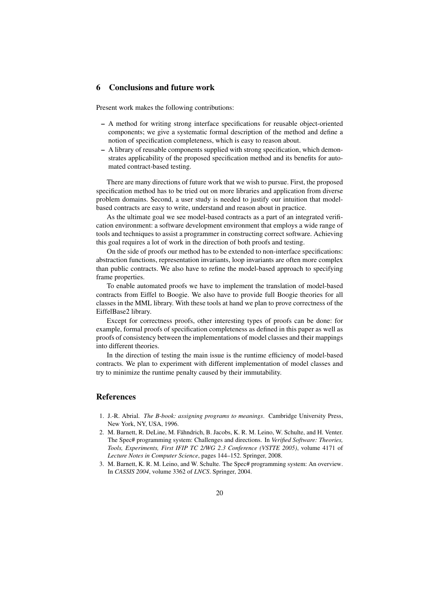## 6 Conclusions and future work

Present work makes the following contributions:

- A method for writing strong interface specifications for reusable object-oriented components; we give a systematic formal description of the method and define a notion of specification completeness, which is easy to reason about.
- A library of reusable components supplied with strong specification, which demonstrates applicability of the proposed specification method and its benefits for automated contract-based testing.

There are many directions of future work that we wish to pursue. First, the proposed specification method has to be tried out on more libraries and application from diverse problem domains. Second, a user study is needed to justify our intuition that modelbased contracts are easy to write, understand and reason about in practice.

As the ultimate goal we see model-based contracts as a part of an integrated verification environment: a software development environment that employs a wide range of tools and techniques to assist a programmer in constructing correct software. Achieving this goal requires a lot of work in the direction of both proofs and testing.

On the side of proofs our method has to be extended to non-interface specifications: abstraction functions, representation invariants, loop invariants are often more complex than public contracts. We also have to refine the model-based approach to specifying frame properties.

To enable automated proofs we have to implement the translation of model-based contracts from Eiffel to Boogie. We also have to provide full Boogie theories for all classes in the MML library. With these tools at hand we plan to prove correctness of the EiffelBase2 library.

Except for correctness proofs, other interesting types of proofs can be done: for example, formal proofs of specification completeness as defined in this paper as well as proofs of consistency between the implementations of model classes and their mappings into different theories.

In the direction of testing the main issue is the runtime efficiency of model-based contracts. We plan to experiment with different implementation of model classes and try to minimize the runtime penalty caused by their immutability.

### References

- 1. J.-R. Abrial. *The B-book: assigning programs to meanings*. Cambridge University Press, New York, NY, USA, 1996.
- 2. M. Barnett, R. DeLine, M. Fähndrich, B. Jacobs, K. R. M. Leino, W. Schulte, and H. Venter. The Spec# programming system: Challenges and directions. In *Verified Software: Theories, Tools, Experiments, First IFIP TC 2/WG 2.3 Conference (VSTTE 2005)*, volume 4171 of *Lecture Notes in Computer Science*, pages 144–152. Springer, 2008.
- 3. M. Barnett, K. R. M. Leino, and W. Schulte. The Spec# programming system: An overview. In *CASSIS 2004*, volume 3362 of *LNCS*. Springer, 2004.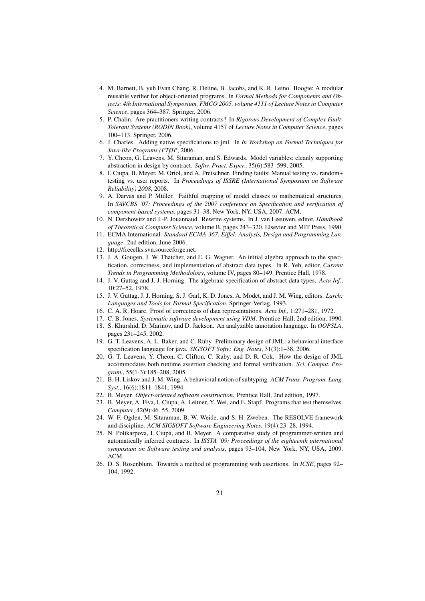- 4. M. Barnett, B. yuh Evan Chang, R. Deline, B. Jacobs, and K. R. Leino. Boogie: A modular reusable verifier for object-oriented programs. In *Formal Methods for Components and Objects: 4th International Symposium, FMCO 2005, volume 4111 of Lecture Notes in Computer Science*, pages 364–387. Springer, 2006.
- 5. P. Chalin. Are practitioners writing contracts? In *Rigorous Development of Complex Fault-Tolerant Systems (RODIN Book)*, volume 4157 of *Lecture Notes in Computer Science*, pages 100–113. Springer, 2006.
- 6. J. Charles. Adding native specifications to jml. In *In Workshop on Formal Techniques for Java-like Programs (FTfJP*, 2006.
- 7. Y. Cheon, G. Leavens, M. Sitaraman, and S. Edwards. Model variables: cleanly supporting abstraction in design by contract. *Softw. Pract. Exper.*, 35(6):583–599, 2005.
- 8. I. Ciupa, B. Meyer, M. Oriol, and A. Pretschner. Finding faults: Manual testing vs. random+ testing vs. user reports. In *Proceedings of ISSRE (International Symposium on Software Reliability) 2008*, 2008.
- 9. A. Darvas and P. Müller. Faithful mapping of model classes to mathematical structures. In *SAVCBS '07: Proceedings of the 2007 conference on Specification and verification of component-based systems*, pages 31–38, New York, NY, USA, 2007. ACM.
- 10. N. Dershowitz and J.-P. Jouannaud. Rewrite systems. In J. van Leeuwen, editor, *Handbook of Theoretical Computer Science*, volume B, pages 243–320. Elsevier and MIT Press, 1990.
- 11. ECMA International. *Standard ECMA-367. Eiffel: Analysis, Design and Programming Language*. 2nd edition, June 2006.
- 12. http://freeelks.svn.sourceforge.net.
- 13. J. A. Gougen, J. W. Thatcher, and E. G. Wagner. An initial algebra approach to the specification, correctness, and implementation of abstract data types. In R. Yeh, editor, *Current Trends in Programming Methodology*, volume IV, pages 80–149. Prentice Hall, 1978.
- 14. J. V. Guttag and J. J. Horning. The algebraic specification of abstract data types. *Acta Inf.*, 10:27–52, 1978.
- 15. J. V. Guttag, J. J. Horning, S. J. Garl, K. D. Jones, A. Modet, and J. M. Wing, editors. *Larch: Languages and Tools for Formal Specification*. Springer-Verlag, 1993.
- 16. C. A. R. Hoare. Proof of correctness of data representations. *Acta Inf.*, 1:271–281, 1972.
- 17. C. B. Jones. *Systematic software development using VDM*. Prentice-Hall, 2nd edition, 1990.
- 18. S. Khurshid, D. Marinov, and D. Jackson. An analyzable annotation language. In *OOPSLA*, pages 231–245, 2002.
- 19. G. T. Leavens, A. L. Baker, and C. Ruby. Preliminary design of JML: a behavioral interface specification language for java. *SIGSOFT Softw. Eng. Notes*, 31(3):1–38, 2006.
- 20. G. T. Leavens, Y. Cheon, C. Clifton, C. Ruby, and D. R. Cok. How the design of JML accommodates both runtime assertion checking and formal verification. *Sci. Comput. Program.*, 55(1-3):185–208, 2005.
- 21. B. H. Liskov and J. M. Wing. A behavioral notion of subtyping. *ACM Trans. Program. Lang. Syst.*, 16(6):1811–1841, 1994.
- 22. B. Meyer. *Object-oriented software construction*. Prentice Hall, 2nd edition, 1997.
- 23. B. Meyer, A. Fiva, I. Ciupa, A. Leitner, Y. Wei, and E. Stapf. Programs that test themselves. *Computer*, 42(9):46–55, 2009.
- 24. W. F. Ogden, M. Sitaraman, B. W. Weide, and S. H. Zweben. The RESOLVE framework and discipline. *ACM SIGSOFT Software Engineering Notes*, 19(4):23–28, 1994.
- 25. N. Polikarpova, I. Ciupa, and B. Meyer. A comparative study of programmer-written and automatically inferred contracts. In *ISSTA '09: Proceedings of the eighteenth international symposium on Software testing and analysis*, pages 93–104, New York, NY, USA, 2009. ACM.
- 26. D. S. Rosenblum. Towards a method of programming with assertions. In *ICSE*, pages 92– 104, 1992.